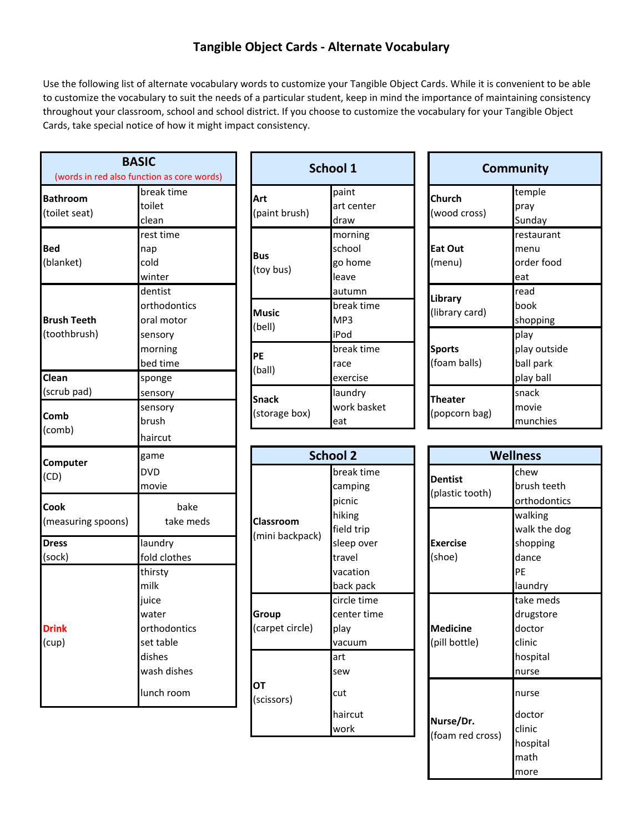## **Tangible Object Cards ‐ Alternate Vocabulary**

Use the following list of alternate vocabulary words to customize your Tangible Object Cards. While it is convenient to be able to customize the vocabulary to suit the needs of a particular student, keep in mind the importance of maintaining consistency throughout your classroom, school and school district. If you choose to customize the vocabulary for your Tangible Object Cards, take special notice of how it might impact consistency.

| <b>BASIC</b>                               |              |  |  |  |  |
|--------------------------------------------|--------------|--|--|--|--|
| (words in red also function as core words) |              |  |  |  |  |
| <b>Bathroom</b>                            | break time   |  |  |  |  |
| (toilet seat)                              | toilet       |  |  |  |  |
|                                            | clean        |  |  |  |  |
|                                            | rest time    |  |  |  |  |
| <b>Bed</b>                                 | nap          |  |  |  |  |
| (blanket)                                  | cold         |  |  |  |  |
|                                            | winter       |  |  |  |  |
|                                            | dentist      |  |  |  |  |
|                                            | orthodontics |  |  |  |  |
| <b>Brush Teeth</b>                         | oral motor   |  |  |  |  |
| (toothbrush)                               | sensory      |  |  |  |  |
|                                            | morning      |  |  |  |  |
|                                            | bed time     |  |  |  |  |
| Clean                                      | sponge       |  |  |  |  |
| (scrub pad)                                | sensory      |  |  |  |  |
| Comb                                       | sensory      |  |  |  |  |
| (comb)                                     | brush        |  |  |  |  |
|                                            | haircut      |  |  |  |  |
| Computer                                   | game         |  |  |  |  |
| (CD)                                       | <b>DVD</b>   |  |  |  |  |
|                                            | movie        |  |  |  |  |
| Cook                                       | bake         |  |  |  |  |
| (measuring spoons)                         | take meds    |  |  |  |  |
| <b>Dress</b>                               | laundry      |  |  |  |  |
| (sock)                                     | fold clothes |  |  |  |  |
|                                            | thirsty      |  |  |  |  |
|                                            | milk         |  |  |  |  |
|                                            | juice        |  |  |  |  |
|                                            | water        |  |  |  |  |
| <b>Drink</b>                               | orthodontics |  |  |  |  |
| (cup)                                      | set table    |  |  |  |  |
|                                            | dishes       |  |  |  |  |
|                                            | wash dishes  |  |  |  |  |
|                                            | lunch room   |  |  |  |  |

| SIC<br>ction as core words)              |                               | <b>School 1</b>                        |  |                                 | <b>Community</b>                               |
|------------------------------------------|-------------------------------|----------------------------------------|--|---------------------------------|------------------------------------------------|
| break time<br>toilet<br>clean            | Art<br>(paint brush)          | paint<br>art center<br>draw            |  | Church<br>(wood cross)          | temple<br>pray<br>Sunday                       |
| rest time<br>nap<br>cold<br>winter       | <b>Bus</b><br>(toy bus)       | morning<br>school<br>go home<br>leave  |  | Eat Out<br>(menu)               | restaurant<br>menu<br>order food<br>eat        |
| dentist<br>orthodontics<br>oral motor    | <b>Music</b><br>(bell)        | autumn<br>break time<br>MP3            |  | Library<br>(library card)       | read<br>book<br>shopping                       |
| sensory<br>morning<br>bed time<br>sponge | PE<br>(ball)                  | iPod<br>break time<br>race<br>exercise |  | <b>Sports</b><br>(foam balls)   | play<br>play outside<br>ball park<br>play ball |
| sensory<br>sensory<br>brush              | <b>Snack</b><br>(storage box) | laundry<br>work basket<br>eat          |  | <b>Theater</b><br>(popcorn bag) | snack<br>movie<br>munchies                     |

| Community      |              |  |  |
|----------------|--------------|--|--|
| Church         | temple       |  |  |
| (wood cross)   | pray         |  |  |
|                | Sunday       |  |  |
|                | restaurant   |  |  |
| Eat Out        | menu         |  |  |
| (menu)         | order food   |  |  |
|                | eat          |  |  |
| Library        | read         |  |  |
| (library card) | book         |  |  |
|                | shopping     |  |  |
|                | play         |  |  |
| Sports         | play outside |  |  |
| (foam balls)   | ball park    |  |  |
|                | play ball    |  |  |
| Theater        | snack        |  |  |
|                | movie        |  |  |
| (popcorn bag)  | munchies     |  |  |

| game                                        |                                     | <b>School 2</b>                              |                                   | <b>Wellness</b>                            |
|---------------------------------------------|-------------------------------------|----------------------------------------------|-----------------------------------|--------------------------------------------|
| DVD<br>movie                                |                                     | break time<br>camping<br>picnic              | <b>Dentist</b><br>(plastic tooth) | chew<br>brush teeth<br>orthodontic         |
| bake<br>take meds                           | <b>Classroom</b><br>(mini backpack) | hiking<br>field trip                         |                                   | walking<br>walk the do                     |
| laundry<br>fold clothes                     |                                     | sleep over<br>travel                         | <b>Exercise</b><br>(shoe)         | shopping<br>dance                          |
| thirsty<br>milk                             |                                     | vacation<br>back pack                        |                                   | PE<br>laundry                              |
| juice<br>water<br>orthodontics<br>set table | Group<br>(carpet circle)            | circle time<br>center time<br>play<br>vacuum | <b>Medicine</b><br>(pill bottle)  | take meds<br>drugstore<br>doctor<br>clinic |
| dishes<br>wash dishes                       |                                     | art<br>sew                                   |                                   | hospital<br>nurse                          |
| lunch room                                  | ОT<br>(scissors)                    | cut                                          |                                   | nurse                                      |
|                                             |                                     | haircut<br>work                              | Nurse/Dr.<br>(foam red cross)     | doctor<br>clinic<br>احتضمهما               |

| <b>School 2</b> |                                                                       | <b>Wellness</b>                   |                                                                 |
|-----------------|-----------------------------------------------------------------------|-----------------------------------|-----------------------------------------------------------------|
|                 | break time<br>camping<br>picnic                                       | <b>Dentist</b><br>(plastic tooth) | chew<br>brush teeth<br>orthodontics                             |
| ck)             | hiking<br>field trip<br>sleep over<br>travel<br>vacation<br>back pack | <b>Exercise</b><br>(shoe)         | walking<br>walk the dog<br>shopping<br>dance<br>PF<br>laundry   |
| )               | circle time<br>center time<br>play<br>vacuum<br>art<br>sew            | <b>Medicine</b><br>(pill bottle)  | take meds<br>drugstore<br>doctor<br>clinic<br>hospital<br>nurse |
|                 | cut<br>haircut<br>work                                                | Nurse/Dr.<br>(foam red cross)     | nurse<br>doctor<br>clinic<br>hospital<br>math<br>more           |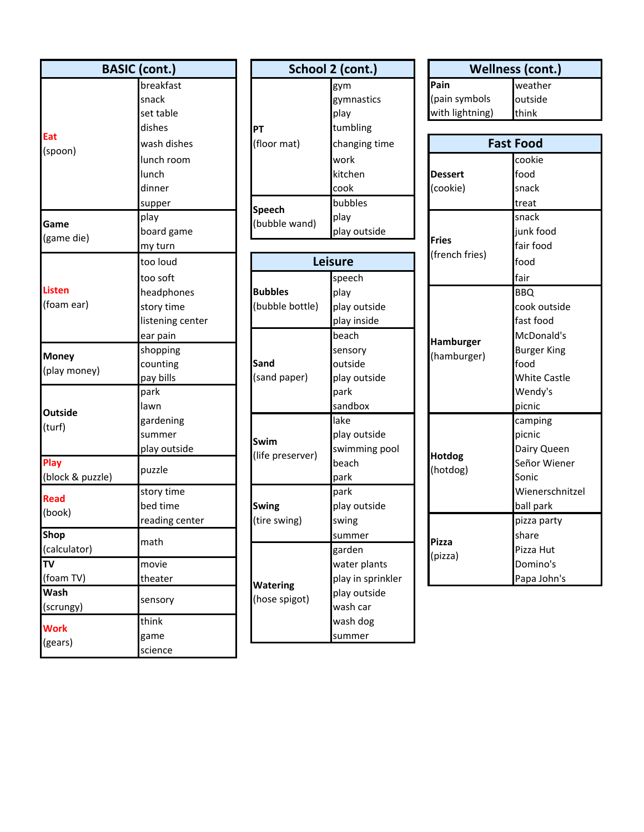| <b>BASIC</b> (cont.)         |                  |  |  |  |
|------------------------------|------------------|--|--|--|
|                              | breakfast        |  |  |  |
|                              | snack            |  |  |  |
|                              | set table        |  |  |  |
|                              | dishes           |  |  |  |
| Eat<br>(spoon)               | wash dishes      |  |  |  |
|                              | lunch room       |  |  |  |
|                              | lunch            |  |  |  |
|                              | dinner           |  |  |  |
|                              | supper           |  |  |  |
| Game                         | play             |  |  |  |
| (game die)                   | board game       |  |  |  |
|                              | my turn          |  |  |  |
|                              | too loud         |  |  |  |
|                              | too soft         |  |  |  |
| <b>Listen</b>                | headphones       |  |  |  |
| (foam ear)                   | story time       |  |  |  |
|                              | listening center |  |  |  |
|                              | ear pain         |  |  |  |
|                              | shopping         |  |  |  |
| <b>Money</b><br>(play money) | counting         |  |  |  |
|                              | pay bills        |  |  |  |
|                              | park             |  |  |  |
| <b>Outside</b>               | lawn             |  |  |  |
| (turf)                       | gardening        |  |  |  |
|                              | summer           |  |  |  |
|                              | play outside     |  |  |  |
| Play<br>(block & puzzle)     | puzzle           |  |  |  |
| <b>Read</b>                  | story time       |  |  |  |
| (book)                       | bed time         |  |  |  |
|                              | reading center   |  |  |  |
| <b>Shop</b>                  | math             |  |  |  |
| (calculator)                 |                  |  |  |  |
| TV                           | movie            |  |  |  |
| (foam TV)                    | theater          |  |  |  |
| Wash                         | sensory          |  |  |  |
| (scrungy)                    |                  |  |  |  |
| <b>Work</b>                  | think            |  |  |  |
| (gears)                      | game             |  |  |  |
|                              | science          |  |  |  |

| (cont.)     |               | School 2 (cont.) |                  | <b>Wellness (cont.</b> |  |
|-------------|---------------|------------------|------------------|------------------------|--|
| breakfast   |               | gym              | Pain             | weather                |  |
| snack       |               | gymnastics       | (pain symbols    | outside                |  |
| set table   |               | play             | with lightning)  | <b>think</b>           |  |
| dishes      | <b>PT</b>     | tumbling         |                  |                        |  |
| wash dishes | (floor mat)   | changing time    | <b>Fast Food</b> |                        |  |
| lunch room  |               | work             |                  | cookie                 |  |
| lunch       |               | kitchen          | <b>Dessert</b>   | food                   |  |
| dinner      |               | cook             | (cookie)         | snack                  |  |
| supper      |               | bubbles          |                  | treat                  |  |
| play        | <b>Speech</b> | play             |                  | snack                  |  |
| board game  | (bubble wand) | play outside     |                  | junk food              |  |
|             |               |                  | <b>Fries</b>     | .                      |  |

| too loud         |                  | <b>Leisure</b>    |               | $\mu$<br>food       |
|------------------|------------------|-------------------|---------------|---------------------|
| too soft         |                  | speech            |               | fair                |
| headphones       | <b>Bubbles</b>   | play              |               | <b>BBQ</b>          |
| story time       | (bubble bottle)  | play outside      |               | cook outside        |
| listening center |                  | play inside       |               | fast food           |
| ear pain         |                  | beach             | Hamburger     | McDonald's          |
| shopping         |                  | sensory           | (hamburger)   | <b>Burger King</b>  |
| counting         | Sand             | outside           |               | food                |
| pay bills        | (sand paper)     | play outside      |               | <b>White Castle</b> |
| park             |                  | park              |               | Wendy's             |
| lawn             |                  | sandbox           |               | picnic              |
| gardening        |                  | lake              |               | camping             |
| summer           | Swim             | play outside      |               | picnic              |
| play outside     | (life preserver) | swimming pool     | <b>Hotdog</b> | Dairy Queen         |
|                  |                  | beach             | (hotdog)      | Señor Wiener        |
| puzzle           |                  | park              |               | Sonic               |
| story time       |                  | park              |               | Wienerschnitzel     |
| bed time         | <b>Swing</b>     | play outside      |               | ball park           |
| reading center   | (tire swing)     | swing             |               | pizza party         |
|                  |                  | summer            | <b>Pizza</b>  | share               |
| math             |                  | garden            | (pizza)       | Pizza Hut           |
| movie            |                  | water plants      |               | Domino's            |
| theater          |                  | play in sprinkler |               | Papa John's         |
|                  | <b>Watering</b>  | play outside      |               |                     |
| sensory          | (hose spigot)    | wash car          |               |                     |
| think            |                  | wash dog          |               |                     |
| game             |                  | summer            |               |                     |

| (cont.)          | School 2 (cont.)               |                   |                          | <b>Wellness (cont.)</b> |
|------------------|--------------------------------|-------------------|--------------------------|-------------------------|
| breakfast        |                                | gym               | Pain                     | weather                 |
| snack            |                                | gymnastics        | (pain symbols            | outside                 |
| set table        |                                | play              | with lightning)          | think                   |
| dishes           | <b>PT</b>                      | tumbling          |                          |                         |
| wash dishes      | (floor mat)                    | changing time     |                          | <b>Fast Food</b>        |
| lunch room       |                                | work              |                          | cookie                  |
| lunch            |                                | kitchen           | <b>Dessert</b>           | food                    |
| dinner           |                                | cook              | (cookie)                 | snack                   |
| supper           |                                | bubbles           |                          | treat                   |
| play             | <b>Speech</b><br>(bubble wand) | play              |                          | snack                   |
| board game       |                                | play outside      |                          | junk food               |
| my turn          |                                |                   | <b>Fries</b>             | fair food               |
| too loud         |                                | <b>Leisure</b>    | (french fries)           | food                    |
| too soft         |                                | speech            |                          | fair                    |
| headphones       | <b>Bubbles</b>                 | play              |                          | <b>BBO</b>              |
| story time       | (bubble bottle)                | play outside      |                          | cook outside            |
| listening center |                                | play inside       |                          | fast food               |
| ear pain         |                                | beach             |                          | McDonald's              |
| shopping         |                                | sensory           | Hamburger<br>(hamburger) | <b>Burger King</b>      |
| counting         | Sand                           | outside           |                          | food                    |
| pay bills        | (sand paper)                   | play outside      |                          | <b>White Castle</b>     |
| park             |                                | park              |                          | Wendy's                 |
| lawn             |                                | sandbox           |                          | picnic                  |
| gardening        |                                | lake              |                          | camping                 |
| summer           | Swim                           | play outside      |                          | picnic                  |
| play outside     | (life preserver)               | swimming pool     | <b>Hotdog</b>            | Dairy Queen             |
|                  |                                | beach             | (hotdog)                 | Señor Wiener            |
| puzzle           |                                | park              |                          | Sonic                   |
| story time       |                                | park              |                          | Wienerschnitzel         |
| bed time         | <b>Swing</b>                   | play outside      |                          | ball park               |
| reading center   | (tire swing)                   | swing             |                          | pizza party             |
|                  |                                | summer            | <b>Pizza</b>             | share                   |
| math             |                                | garden            |                          | Pizza Hut               |
| movie            |                                | water plants      | (pizza)                  | Domino's                |
| theater          |                                | play in sprinkler |                          | Papa John's             |
|                  | <b>Watering</b>                | play outride      |                          |                         |